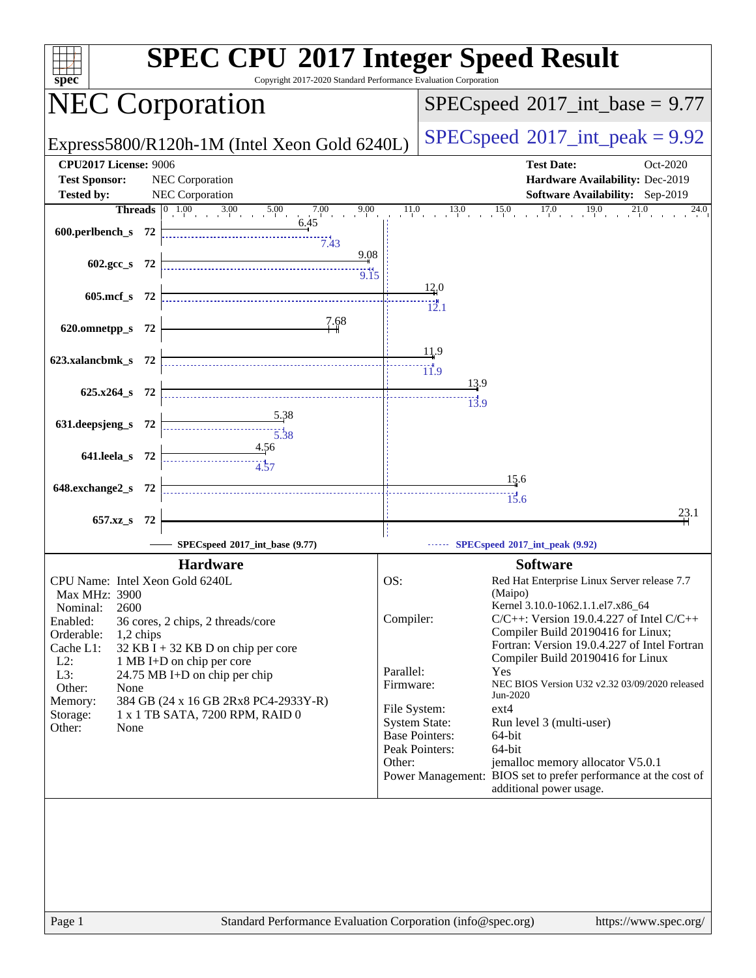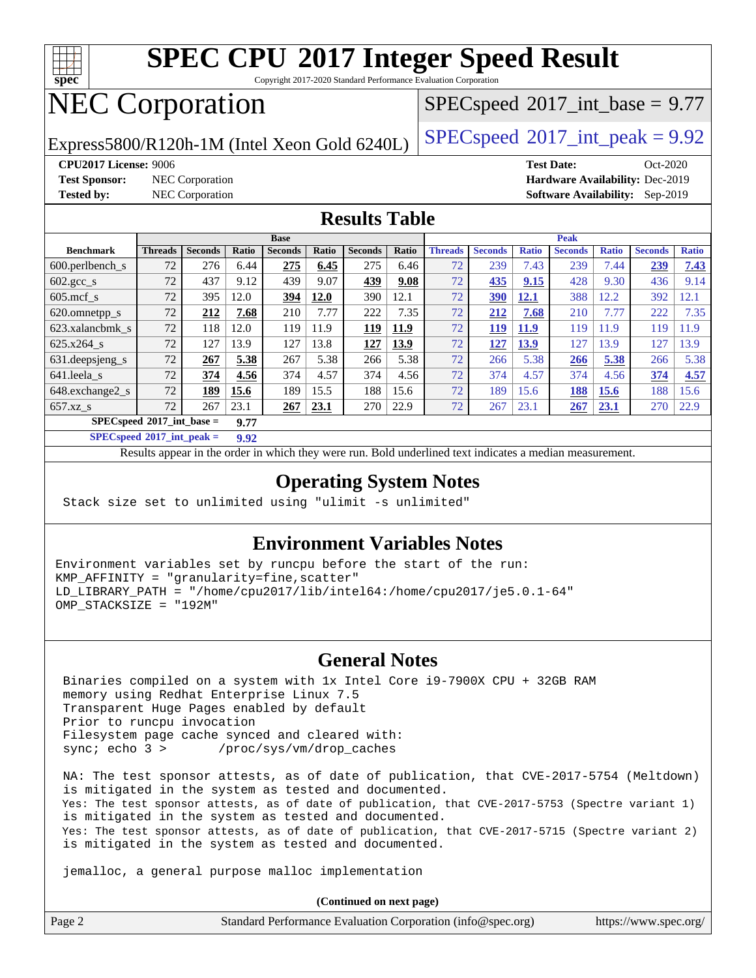

Copyright 2017-2020 Standard Performance Evaluation Corporation

# NEC Corporation

 $SPECspeed^{\circledcirc}2017\_int\_base = 9.77$  $SPECspeed^{\circledcirc}2017\_int\_base = 9.77$ 

Express5800/R120h-1M (Intel Xeon Gold 6240L)  $\left|$  [SPECspeed](http://www.spec.org/auto/cpu2017/Docs/result-fields.html#SPECspeed2017intpeak)®[2017\\_int\\_peak = 9](http://www.spec.org/auto/cpu2017/Docs/result-fields.html#SPECspeed2017intpeak).92

**[Test Sponsor:](http://www.spec.org/auto/cpu2017/Docs/result-fields.html#TestSponsor)** NEC Corporation **[Hardware Availability:](http://www.spec.org/auto/cpu2017/Docs/result-fields.html#HardwareAvailability)** Dec-2019

**[CPU2017 License:](http://www.spec.org/auto/cpu2017/Docs/result-fields.html#CPU2017License)** 9006 **[Test Date:](http://www.spec.org/auto/cpu2017/Docs/result-fields.html#TestDate)** Oct-2020 **[Tested by:](http://www.spec.org/auto/cpu2017/Docs/result-fields.html#Testedby)** NEC Corporation **[Software Availability:](http://www.spec.org/auto/cpu2017/Docs/result-fields.html#SoftwareAvailability)** Sep-2019

## **[Results Table](http://www.spec.org/auto/cpu2017/Docs/result-fields.html#ResultsTable)**

|                                     | <b>Base</b>    |                |       |                |       | <b>Peak</b>    |       |                |                |              |                |              |                |              |
|-------------------------------------|----------------|----------------|-------|----------------|-------|----------------|-------|----------------|----------------|--------------|----------------|--------------|----------------|--------------|
| <b>Benchmark</b>                    | <b>Threads</b> | <b>Seconds</b> | Ratio | <b>Seconds</b> | Ratio | <b>Seconds</b> | Ratio | <b>Threads</b> | <b>Seconds</b> | <b>Ratio</b> | <b>Seconds</b> | <b>Ratio</b> | <b>Seconds</b> | <b>Ratio</b> |
| $600.$ perlbench $\mathsf{S}$       | 72             | 276            | 6.44  | 275            | 6.45  | 275            | 6.46  | 72             | 239            | 7.43         | 239            | 7.44         | 239            | 7.43         |
| $602 \text{.} \text{gcc}\text{.}$ s | 72             | 437            | 9.12  | 439            | 9.07  | 439            | 9.08  | 72             | 435            | 9.15         | 428            | 9.30         | 436            | 9.14         |
| $605$ .mcf s                        | 72             | 395            | 12.0  | 394            | 12.0  | 390            | 12.1  | 72             | 390            | 12.1         | 388            | 12.2         | 392            | 12.1         |
| 620.omnetpp_s                       | 72             | 212            | 7.68  | 210            | 7.77  | 222            | 7.35  | 72             | 212            | 7.68         | 210            | 7.77         | 222            | 7.35         |
| 623.xalancbmk s                     | 72             | 118            | 12.0  | 119            | 11.9  | 119            | 11.9  | 72             | 119            | <b>11.9</b>  | 119            | 11.9         | 119            | 11.9         |
| $625.x264$ s                        | 72             | 127            | 13.9  | 127            | 13.8  | 127            | 13.9  | 72             | 127            | 13.9         | 127            | 13.9         | 127            | 13.9         |
| 631.deepsjeng_s                     | 72             | 267            | 5.38  | 267            | 5.38  | 266            | 5.38  | 72             | 266            | 5.38         | 266            | 5.38         | 266            | 5.38         |
| $641$ .leela_s                      | 72             | 374            | 4.56  | 374            | 4.57  | 374            | 4.56  | 72             | 374            | 4.57         | 374            | 4.56         | 374            | 4.57         |
| 648.exchange2_s                     | 72             | 189            | 15.6  | 189            | 15.5  | 188            | 15.6  | 72             | 189            | 15.6         | 188            | 15.6         | 188            | 15.6         |
| $657.xz$ s                          | 72             | 267            | 23.1  | 267            | 23.1  | 270            | 22.9  | 72             | 267            | 23.1         | 267            | 23.1         | 270            | 22.9         |
| $SPECspeed*2017$ int base =<br>9.77 |                |                |       |                |       |                |       |                |                |              |                |              |                |              |

**[SPECspeed](http://www.spec.org/auto/cpu2017/Docs/result-fields.html#SPECspeed2017intpeak)[2017\\_int\\_peak =](http://www.spec.org/auto/cpu2017/Docs/result-fields.html#SPECspeed2017intpeak) 9.92**

Results appear in the [order in which they were run.](http://www.spec.org/auto/cpu2017/Docs/result-fields.html#RunOrder) Bold underlined text [indicates a median measurement](http://www.spec.org/auto/cpu2017/Docs/result-fields.html#Median).

## **[Operating System Notes](http://www.spec.org/auto/cpu2017/Docs/result-fields.html#OperatingSystemNotes)**

Stack size set to unlimited using "ulimit -s unlimited"

## **[Environment Variables Notes](http://www.spec.org/auto/cpu2017/Docs/result-fields.html#EnvironmentVariablesNotes)**

Environment variables set by runcpu before the start of the run: KMP\_AFFINITY = "granularity=fine,scatter" LD\_LIBRARY\_PATH = "/home/cpu2017/lib/intel64:/home/cpu2017/je5.0.1-64" OMP\_STACKSIZE = "192M"

## **[General Notes](http://www.spec.org/auto/cpu2017/Docs/result-fields.html#GeneralNotes)**

 Binaries compiled on a system with 1x Intel Core i9-7900X CPU + 32GB RAM memory using Redhat Enterprise Linux 7.5 Transparent Huge Pages enabled by default Prior to runcpu invocation Filesystem page cache synced and cleared with: sync; echo 3 > /proc/sys/vm/drop\_caches

 NA: The test sponsor attests, as of date of publication, that CVE-2017-5754 (Meltdown) is mitigated in the system as tested and documented. Yes: The test sponsor attests, as of date of publication, that CVE-2017-5753 (Spectre variant 1) is mitigated in the system as tested and documented. Yes: The test sponsor attests, as of date of publication, that CVE-2017-5715 (Spectre variant 2) is mitigated in the system as tested and documented.

jemalloc, a general purpose malloc implementation

**(Continued on next page)**

| Page 2 | Standard Performance Evaluation Corporation (info@spec.org) | https://www.spec.org/ |
|--------|-------------------------------------------------------------|-----------------------|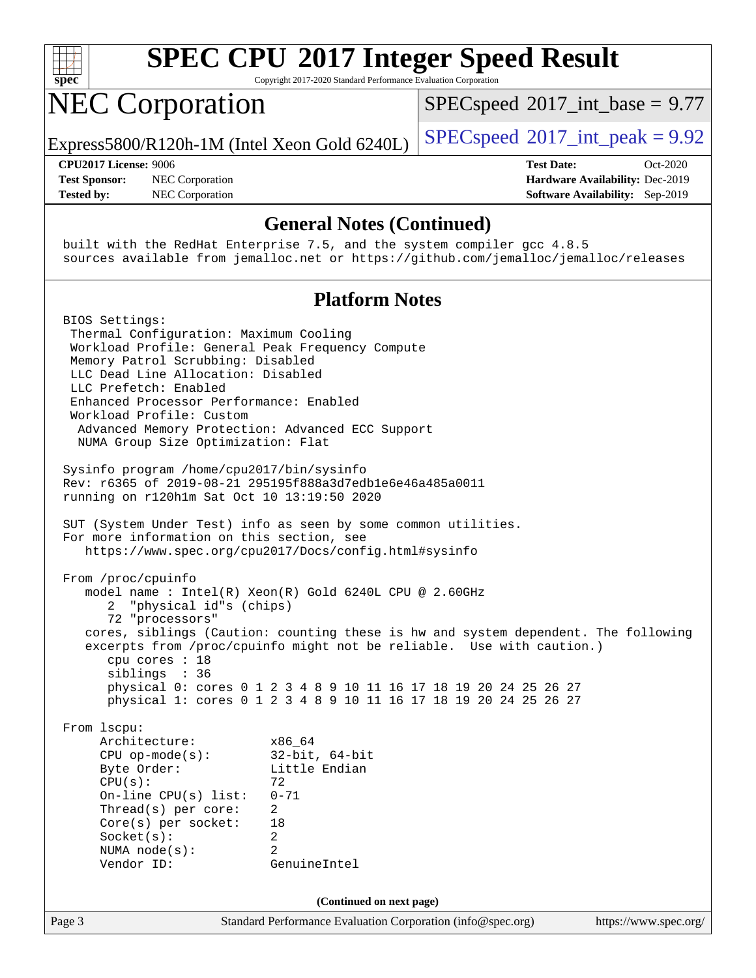

Copyright 2017-2020 Standard Performance Evaluation Corporation

# NEC Corporation

 $SPECspeed^{\circ}2017\_int\_base = 9.77$  $SPECspeed^{\circ}2017\_int\_base = 9.77$ 

Express5800/R120h-1M (Intel Xeon Gold 6240L)  $\left|$  [SPECspeed](http://www.spec.org/auto/cpu2017/Docs/result-fields.html#SPECspeed2017intpeak)®[2017\\_int\\_peak = 9](http://www.spec.org/auto/cpu2017/Docs/result-fields.html#SPECspeed2017intpeak).92

**[Test Sponsor:](http://www.spec.org/auto/cpu2017/Docs/result-fields.html#TestSponsor)** NEC Corporation **[Hardware Availability:](http://www.spec.org/auto/cpu2017/Docs/result-fields.html#HardwareAvailability)** Dec-2019 **[Tested by:](http://www.spec.org/auto/cpu2017/Docs/result-fields.html#Testedby)** NEC Corporation **[Software Availability:](http://www.spec.org/auto/cpu2017/Docs/result-fields.html#SoftwareAvailability)** Sep-2019

**[CPU2017 License:](http://www.spec.org/auto/cpu2017/Docs/result-fields.html#CPU2017License)** 9006 **[Test Date:](http://www.spec.org/auto/cpu2017/Docs/result-fields.html#TestDate)** Oct-2020

#### **[General Notes \(Continued\)](http://www.spec.org/auto/cpu2017/Docs/result-fields.html#GeneralNotes)**

 built with the RedHat Enterprise 7.5, and the system compiler gcc 4.8.5 sources available from jemalloc.net or <https://github.com/jemalloc/jemalloc/releases>

## **[Platform Notes](http://www.spec.org/auto/cpu2017/Docs/result-fields.html#PlatformNotes)**

Page 3 Standard Performance Evaluation Corporation [\(info@spec.org\)](mailto:info@spec.org) <https://www.spec.org/> BIOS Settings: Thermal Configuration: Maximum Cooling Workload Profile: General Peak Frequency Compute Memory Patrol Scrubbing: Disabled LLC Dead Line Allocation: Disabled LLC Prefetch: Enabled Enhanced Processor Performance: Enabled Workload Profile: Custom Advanced Memory Protection: Advanced ECC Support NUMA Group Size Optimization: Flat Sysinfo program /home/cpu2017/bin/sysinfo Rev: r6365 of 2019-08-21 295195f888a3d7edb1e6e46a485a0011 running on r120h1m Sat Oct 10 13:19:50 2020 SUT (System Under Test) info as seen by some common utilities. For more information on this section, see <https://www.spec.org/cpu2017/Docs/config.html#sysinfo> From /proc/cpuinfo model name : Intel(R) Xeon(R) Gold 6240L CPU @ 2.60GHz 2 "physical id"s (chips) 72 "processors" cores, siblings (Caution: counting these is hw and system dependent. The following excerpts from /proc/cpuinfo might not be reliable. Use with caution.) cpu cores : 18 siblings : 36 physical 0: cores 0 1 2 3 4 8 9 10 11 16 17 18 19 20 24 25 26 27 physical 1: cores 0 1 2 3 4 8 9 10 11 16 17 18 19 20 24 25 26 27 From lscpu: Architecture: x86\_64 CPU op-mode(s): 32-bit, 64-bit Byte Order: Little Endian  $CPU(s):$  72 On-line CPU(s) list: 0-71 Thread(s) per core: 2 Core(s) per socket: 18 Socket(s): 2 NUMA node(s): 2 Vendor ID: GenuineIntel **(Continued on next page)**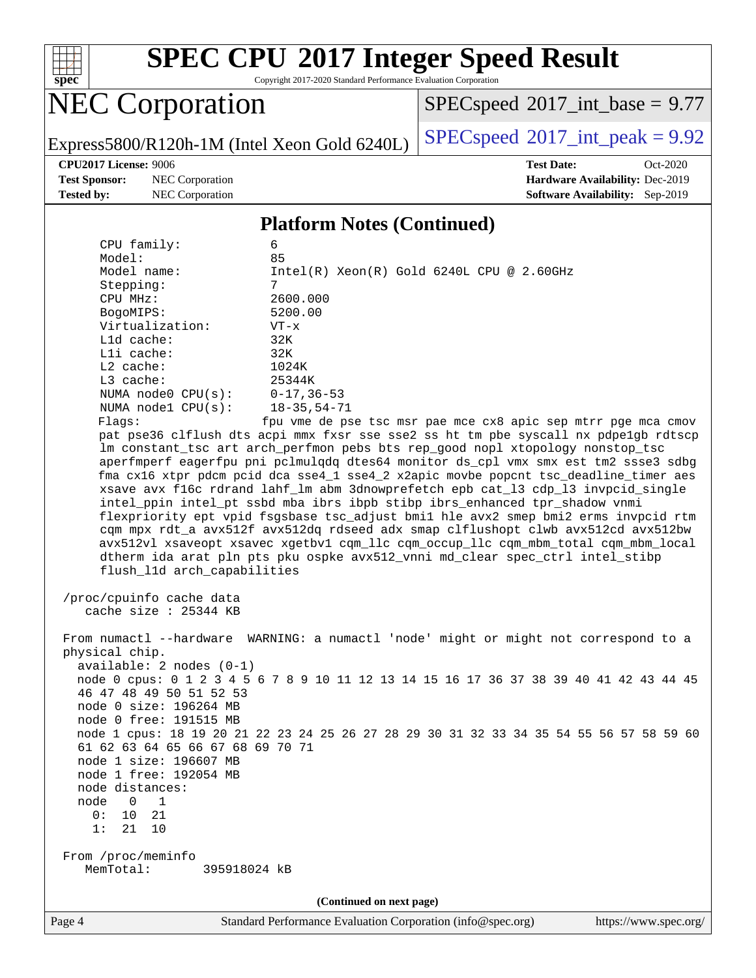

Copyright 2017-2020 Standard Performance Evaluation Corporation

# **NEC Corporation**

 $SPEC speed$ <sup>®</sup> $2017$ \_int\_base = 9.77

Express5800/R120h-1M (Intel Xeon Gold 6240L)  $\left|$  [SPECspeed](http://www.spec.org/auto/cpu2017/Docs/result-fields.html#SPECspeed2017intpeak)<sup>®</sup>[2017\\_int\\_peak = 9](http://www.spec.org/auto/cpu2017/Docs/result-fields.html#SPECspeed2017intpeak).92

**[Test Sponsor:](http://www.spec.org/auto/cpu2017/Docs/result-fields.html#TestSponsor)** NEC Corporation **[Hardware Availability:](http://www.spec.org/auto/cpu2017/Docs/result-fields.html#HardwareAvailability)** Dec-2019 **[Tested by:](http://www.spec.org/auto/cpu2017/Docs/result-fields.html#Testedby)** NEC Corporation **[Software Availability:](http://www.spec.org/auto/cpu2017/Docs/result-fields.html#SoftwareAvailability)** Sep-2019

**[CPU2017 License:](http://www.spec.org/auto/cpu2017/Docs/result-fields.html#CPU2017License)** 9006 **[Test Date:](http://www.spec.org/auto/cpu2017/Docs/result-fields.html#TestDate)** Oct-2020

#### **[Platform Notes \(Continued\)](http://www.spec.org/auto/cpu2017/Docs/result-fields.html#PlatformNotes)**

| CPU family:                                       | 6                                                                                                                                                    |
|---------------------------------------------------|------------------------------------------------------------------------------------------------------------------------------------------------------|
| Model:<br>Model name:                             | 85<br>$Intel(R) Xeon(R) Gold 6240L CPU @ 2.60GHz$                                                                                                    |
| Stepping:                                         | 7                                                                                                                                                    |
| CPU MHz:                                          | 2600.000                                                                                                                                             |
| BogoMIPS:                                         | 5200.00                                                                                                                                              |
| Virtualization:                                   | $VT - x$                                                                                                                                             |
| L1d cache:                                        | 32K                                                                                                                                                  |
| Lli cache:                                        | 32K                                                                                                                                                  |
| L2 cache:                                         | 1024K                                                                                                                                                |
| L3 cache:                                         | 25344K                                                                                                                                               |
| NUMA $node0$ $CPU(s):$                            | $0 - 17, 36 - 53$                                                                                                                                    |
| NUMA nodel CPU(s):                                | $18 - 35, 54 - 71$                                                                                                                                   |
| Flagg:                                            | fpu vme de pse tsc msr pae mce cx8 apic sep mtrr pge mca cmov<br>pat pse36 clflush dts acpi mmx fxsr sse sse2 ss ht tm pbe syscall nx pdpelgb rdtscp |
|                                                   | lm constant_tsc art arch_perfmon pebs bts rep_good nopl xtopology nonstop_tsc                                                                        |
|                                                   | aperfmperf eagerfpu pni pclmulqdq dtes64 monitor ds_cpl vmx smx est tm2 ssse3 sdbg                                                                   |
|                                                   | fma cx16 xtpr pdcm pcid dca sse4_1 sse4_2 x2apic movbe popcnt tsc_deadline_timer aes                                                                 |
|                                                   | xsave avx f16c rdrand lahf_lm abm 3dnowprefetch epb cat_13 cdp_13 invpcid_single                                                                     |
|                                                   | intel_ppin intel_pt ssbd mba ibrs ibpb stibp ibrs_enhanced tpr_shadow vnmi                                                                           |
|                                                   | flexpriority ept vpid fsgsbase tsc_adjust bmil hle avx2 smep bmi2 erms invpcid rtm                                                                   |
|                                                   | cqm mpx rdt_a avx512f avx512dq rdseed adx smap clflushopt clwb avx512cd avx512bw                                                                     |
|                                                   | avx512vl xsaveopt xsavec xgetbvl cqm_llc cqm_occup_llc cqm_mbm_total cqm_mbm_local                                                                   |
|                                                   | dtherm ida arat pln pts pku ospke avx512_vnni md_clear spec_ctrl intel_stibp                                                                         |
| flush_l1d arch_capabilities                       |                                                                                                                                                      |
| /proc/cpuinfo cache data<br>cache size : 25344 KB |                                                                                                                                                      |
|                                                   |                                                                                                                                                      |
|                                                   | From numactl --hardware WARNING: a numactl 'node' might or might not correspond to a                                                                 |
| physical chip.                                    |                                                                                                                                                      |
| $available: 2 nodes (0-1)$                        |                                                                                                                                                      |
|                                                   | node 0 cpus: 0 1 2 3 4 5 6 7 8 9 10 11 12 13 14 15 16 17 36 37 38 39 40 41 42 43 44 45                                                               |
| 46 47 48 49 50 51 52 53                           |                                                                                                                                                      |
| node 0 size: 196264 MB                            |                                                                                                                                                      |
| node 0 free: 191515 MB                            |                                                                                                                                                      |
| 61 62 63 64 65 66 67 68 69 70 71                  | node 1 cpus: 18 19 20 21 22 23 24 25 26 27 28 29 30 31 32 33 34 35 54 55 56 57 58 59 60                                                              |
| node 1 size: 196607 MB                            |                                                                                                                                                      |
| node 1 free: 192054 MB                            |                                                                                                                                                      |
| node distances:                                   |                                                                                                                                                      |
| node<br>$\overline{0}$<br>1                       |                                                                                                                                                      |
| 0:<br>21<br>10                                    |                                                                                                                                                      |
| 1:<br>21<br>10                                    |                                                                                                                                                      |
|                                                   |                                                                                                                                                      |
| From /proc/meminfo<br>MemTotal:                   |                                                                                                                                                      |
| 395918024 kB                                      |                                                                                                                                                      |
|                                                   | (Continued on next page)                                                                                                                             |
|                                                   |                                                                                                                                                      |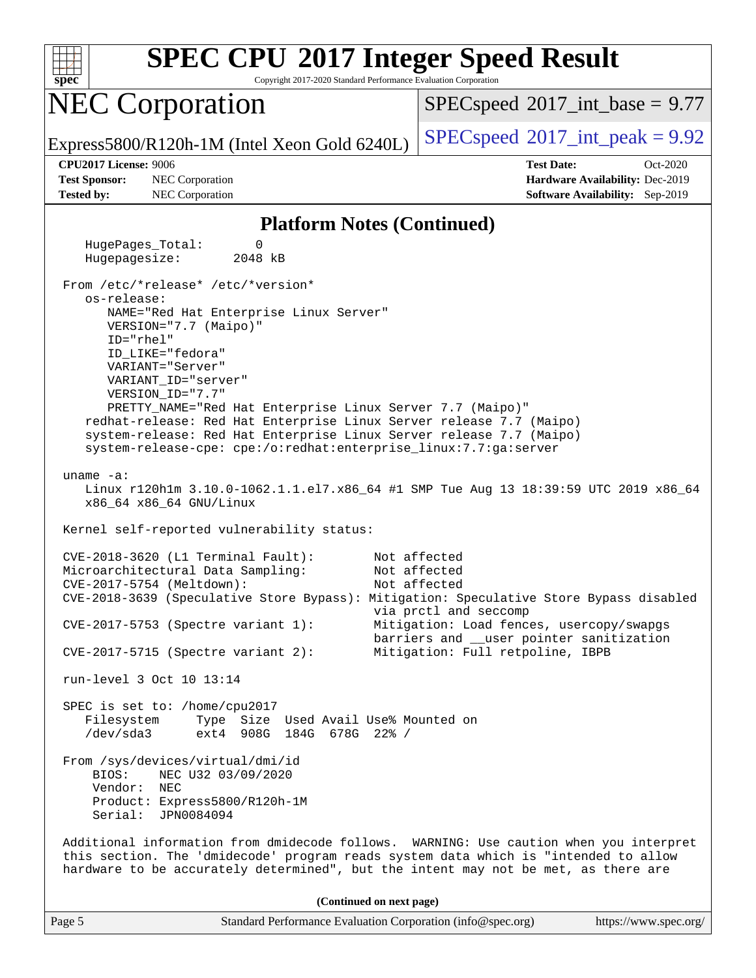

Copyright 2017-2020 Standard Performance Evaluation Corporation

## NEC Corporation

 $SPECspeed^{\circ}2017\_int\_base = 9.77$  $SPECspeed^{\circ}2017\_int\_base = 9.77$ 

Express5800/R120h-1M (Intel Xeon Gold 6240L)  $\left|$  [SPECspeed](http://www.spec.org/auto/cpu2017/Docs/result-fields.html#SPECspeed2017intpeak)®[2017\\_int\\_peak = 9](http://www.spec.org/auto/cpu2017/Docs/result-fields.html#SPECspeed2017intpeak).92

**[Test Sponsor:](http://www.spec.org/auto/cpu2017/Docs/result-fields.html#TestSponsor)** NEC Corporation **[Hardware Availability:](http://www.spec.org/auto/cpu2017/Docs/result-fields.html#HardwareAvailability)** Dec-2019 **[Tested by:](http://www.spec.org/auto/cpu2017/Docs/result-fields.html#Testedby)** NEC Corporation **[Software Availability:](http://www.spec.org/auto/cpu2017/Docs/result-fields.html#SoftwareAvailability)** Sep-2019

**[CPU2017 License:](http://www.spec.org/auto/cpu2017/Docs/result-fields.html#CPU2017License)** 9006 **[Test Date:](http://www.spec.org/auto/cpu2017/Docs/result-fields.html#TestDate)** Oct-2020

#### **[Platform Notes \(Continued\)](http://www.spec.org/auto/cpu2017/Docs/result-fields.html#PlatformNotes)**

 HugePages\_Total: 0 Hugepagesize: 2048 kB From /etc/\*release\* /etc/\*version\* os-release: NAME="Red Hat Enterprise Linux Server" VERSION="7.7 (Maipo)" ID="rhel" ID\_LIKE="fedora" VARIANT="Server" VARIANT\_ID="server" VERSION\_ID="7.7" PRETTY\_NAME="Red Hat Enterprise Linux Server 7.7 (Maipo)" redhat-release: Red Hat Enterprise Linux Server release 7.7 (Maipo) system-release: Red Hat Enterprise Linux Server release 7.7 (Maipo) system-release-cpe: cpe:/o:redhat:enterprise\_linux:7.7:ga:server uname -a: Linux r120h1m 3.10.0-1062.1.1.el7.x86\_64 #1 SMP Tue Aug 13 18:39:59 UTC 2019 x86\_64 x86\_64 x86\_64 GNU/Linux Kernel self-reported vulnerability status: CVE-2018-3620 (L1 Terminal Fault): Not affected Microarchitectural Data Sampling: Not affected CVE-2017-5754 (Meltdown): Not affected CVE-2018-3639 (Speculative Store Bypass): Mitigation: Speculative Store Bypass disabled via prctl and seccomp CVE-2017-5753 (Spectre variant 1): Mitigation: Load fences, usercopy/swapgs barriers and \_\_user pointer sanitization CVE-2017-5715 (Spectre variant 2): Mitigation: Full retpoline, IBPB run-level 3 Oct 10 13:14 SPEC is set to: /home/cpu2017 Filesystem Type Size Used Avail Use% Mounted on /dev/sda3 ext4 908G 184G 678G 22% / From /sys/devices/virtual/dmi/id BIOS: NEC U32 03/09/2020 Vendor: NEC Product: Express5800/R120h-1M Serial: JPN0084094 Additional information from dmidecode follows. WARNING: Use caution when you interpret this section. The 'dmidecode' program reads system data which is "intended to allow hardware to be accurately determined", but the intent may not be met, as there are **(Continued on next page)**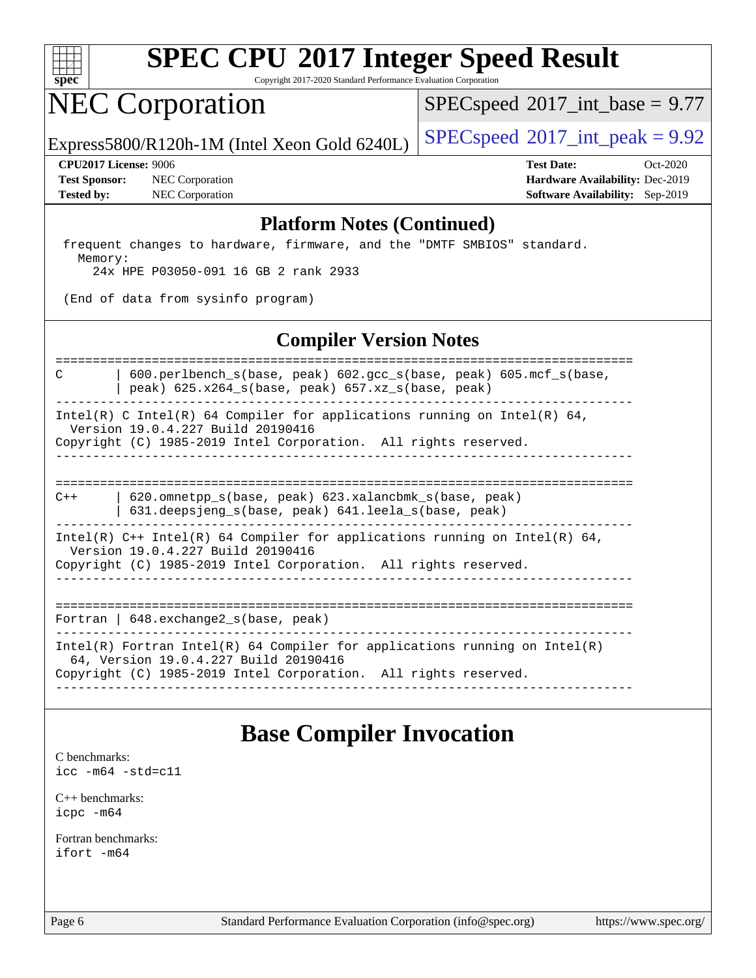

Copyright 2017-2020 Standard Performance Evaluation Corporation

## NEC Corporation

 $SPECspeed^{\circledast}2017\_int\_base = 9.77$  $SPECspeed^{\circledast}2017\_int\_base = 9.77$ 

Express5800/R120h-1M (Intel Xeon Gold 6240L)  $\left|$  [SPECspeed](http://www.spec.org/auto/cpu2017/Docs/result-fields.html#SPECspeed2017intpeak)®[2017\\_int\\_peak = 9](http://www.spec.org/auto/cpu2017/Docs/result-fields.html#SPECspeed2017intpeak).92

**[Test Sponsor:](http://www.spec.org/auto/cpu2017/Docs/result-fields.html#TestSponsor)** NEC Corporation **[Hardware Availability:](http://www.spec.org/auto/cpu2017/Docs/result-fields.html#HardwareAvailability)** Dec-2019 **[Tested by:](http://www.spec.org/auto/cpu2017/Docs/result-fields.html#Testedby)** NEC Corporation **[Software Availability:](http://www.spec.org/auto/cpu2017/Docs/result-fields.html#SoftwareAvailability)** Sep-2019

**[CPU2017 License:](http://www.spec.org/auto/cpu2017/Docs/result-fields.html#CPU2017License)** 9006 **[Test Date:](http://www.spec.org/auto/cpu2017/Docs/result-fields.html#TestDate)** Oct-2020

#### **[Platform Notes \(Continued\)](http://www.spec.org/auto/cpu2017/Docs/result-fields.html#PlatformNotes)**

 frequent changes to hardware, firmware, and the "DMTF SMBIOS" standard. Memory: 24x HPE P03050-091 16 GB 2 rank 2933

(End of data from sysinfo program)

## **[Compiler Version Notes](http://www.spec.org/auto/cpu2017/Docs/result-fields.html#CompilerVersionNotes)**

============================================================================== C | 600.perlbench\_s(base, peak) 602.gcc\_s(base, peak) 605.mcf\_s(base, | peak) 625.x264\_s(base, peak) 657.xz\_s(base, peak) ------------------------------------------------------------------------------

Intel(R) C Intel(R) 64 Compiler for applications running on Intel(R) 64, Version 19.0.4.227 Build 20190416

Copyright (C) 1985-2019 Intel Corporation. All rights reserved. ------------------------------------------------------------------------------

==============================================================================

C++ | 620.omnetpp\_s(base, peak) 623.xalancbmk\_s(base, peak) | 631.deepsjeng\_s(base, peak) 641.leela\_s(base, peak) ------------------------------------------------------------------------------

Intel(R)  $C++$  Intel(R) 64 Compiler for applications running on Intel(R) 64,

Version 19.0.4.227 Build 20190416

Copyright (C) 1985-2019 Intel Corporation. All rights reserved. ------------------------------------------------------------------------------

==============================================================================

Fortran | 648.exchange2\_s(base, peak)

------------------------------------------------------------------------------ Intel(R) Fortran Intel(R) 64 Compiler for applications running on Intel(R)

64, Version 19.0.4.227 Build 20190416

Copyright (C) 1985-2019 Intel Corporation. All rights reserved. ------------------------------------------------------------------------------

## **[Base Compiler Invocation](http://www.spec.org/auto/cpu2017/Docs/result-fields.html#BaseCompilerInvocation)**

[C benchmarks](http://www.spec.org/auto/cpu2017/Docs/result-fields.html#Cbenchmarks): [icc -m64 -std=c11](http://www.spec.org/cpu2017/results/res2020q4/cpu2017-20201012-24182.flags.html#user_CCbase_intel_icc_64bit_c11_33ee0cdaae7deeeab2a9725423ba97205ce30f63b9926c2519791662299b76a0318f32ddfffdc46587804de3178b4f9328c46fa7c2b0cd779d7a61945c91cd35)

[C++ benchmarks:](http://www.spec.org/auto/cpu2017/Docs/result-fields.html#CXXbenchmarks) [icpc -m64](http://www.spec.org/cpu2017/results/res2020q4/cpu2017-20201012-24182.flags.html#user_CXXbase_intel_icpc_64bit_4ecb2543ae3f1412ef961e0650ca070fec7b7afdcd6ed48761b84423119d1bf6bdf5cad15b44d48e7256388bc77273b966e5eb805aefd121eb22e9299b2ec9d9)

[Fortran benchmarks](http://www.spec.org/auto/cpu2017/Docs/result-fields.html#Fortranbenchmarks): [ifort -m64](http://www.spec.org/cpu2017/results/res2020q4/cpu2017-20201012-24182.flags.html#user_FCbase_intel_ifort_64bit_24f2bb282fbaeffd6157abe4f878425411749daecae9a33200eee2bee2fe76f3b89351d69a8130dd5949958ce389cf37ff59a95e7a40d588e8d3a57e0c3fd751)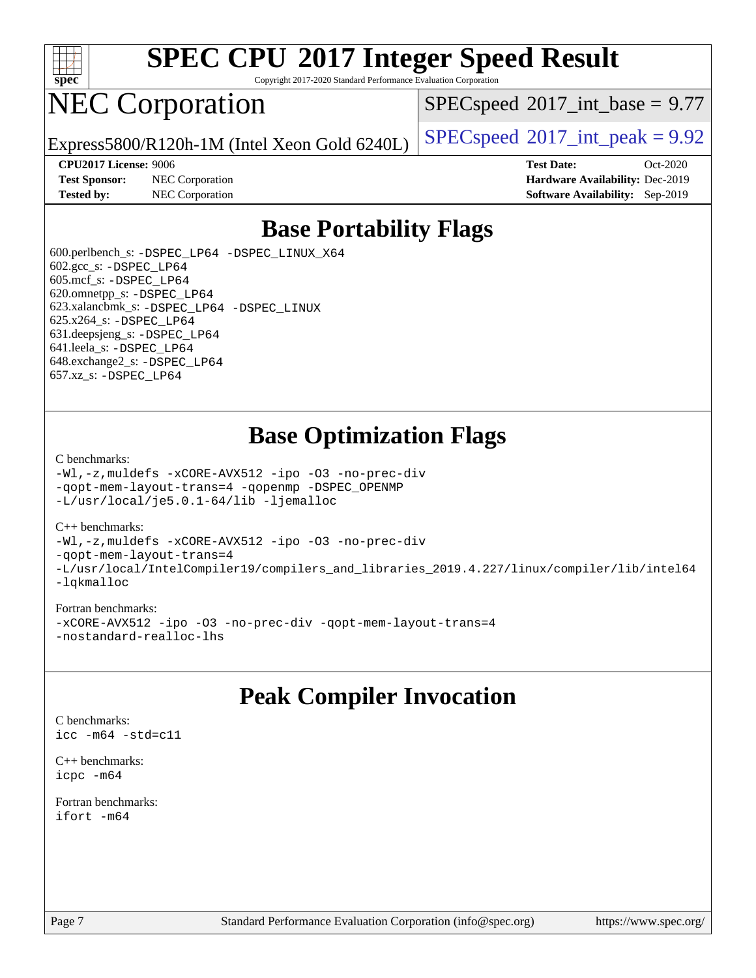

Copyright 2017-2020 Standard Performance Evaluation Corporation

# NEC Corporation

 $SPECspeed^{\circ}2017\_int\_base = 9.77$  $SPECspeed^{\circ}2017\_int\_base = 9.77$ 

Express5800/R120h-1M (Intel Xeon Gold 6240L)  $\left|$  [SPECspeed](http://www.spec.org/auto/cpu2017/Docs/result-fields.html#SPECspeed2017intpeak)®[2017\\_int\\_peak = 9](http://www.spec.org/auto/cpu2017/Docs/result-fields.html#SPECspeed2017intpeak).92

**[Test Sponsor:](http://www.spec.org/auto/cpu2017/Docs/result-fields.html#TestSponsor)** NEC Corporation **[Hardware Availability:](http://www.spec.org/auto/cpu2017/Docs/result-fields.html#HardwareAvailability)** Dec-2019

**[CPU2017 License:](http://www.spec.org/auto/cpu2017/Docs/result-fields.html#CPU2017License)** 9006 **[Test Date:](http://www.spec.org/auto/cpu2017/Docs/result-fields.html#TestDate)** Oct-2020 **[Tested by:](http://www.spec.org/auto/cpu2017/Docs/result-fields.html#Testedby)** NEC Corporation **[Software Availability:](http://www.spec.org/auto/cpu2017/Docs/result-fields.html#SoftwareAvailability)** Sep-2019

## **[Base Portability Flags](http://www.spec.org/auto/cpu2017/Docs/result-fields.html#BasePortabilityFlags)**

 600.perlbench\_s: [-DSPEC\\_LP64](http://www.spec.org/cpu2017/results/res2020q4/cpu2017-20201012-24182.flags.html#b600.perlbench_s_basePORTABILITY_DSPEC_LP64) [-DSPEC\\_LINUX\\_X64](http://www.spec.org/cpu2017/results/res2020q4/cpu2017-20201012-24182.flags.html#b600.perlbench_s_baseCPORTABILITY_DSPEC_LINUX_X64) 602.gcc\_s: [-DSPEC\\_LP64](http://www.spec.org/cpu2017/results/res2020q4/cpu2017-20201012-24182.flags.html#suite_basePORTABILITY602_gcc_s_DSPEC_LP64) 605.mcf\_s: [-DSPEC\\_LP64](http://www.spec.org/cpu2017/results/res2020q4/cpu2017-20201012-24182.flags.html#suite_basePORTABILITY605_mcf_s_DSPEC_LP64) 620.omnetpp\_s: [-DSPEC\\_LP64](http://www.spec.org/cpu2017/results/res2020q4/cpu2017-20201012-24182.flags.html#suite_basePORTABILITY620_omnetpp_s_DSPEC_LP64) 623.xalancbmk\_s: [-DSPEC\\_LP64](http://www.spec.org/cpu2017/results/res2020q4/cpu2017-20201012-24182.flags.html#suite_basePORTABILITY623_xalancbmk_s_DSPEC_LP64) [-DSPEC\\_LINUX](http://www.spec.org/cpu2017/results/res2020q4/cpu2017-20201012-24182.flags.html#b623.xalancbmk_s_baseCXXPORTABILITY_DSPEC_LINUX) 625.x264\_s: [-DSPEC\\_LP64](http://www.spec.org/cpu2017/results/res2020q4/cpu2017-20201012-24182.flags.html#suite_basePORTABILITY625_x264_s_DSPEC_LP64) 631.deepsjeng\_s: [-DSPEC\\_LP64](http://www.spec.org/cpu2017/results/res2020q4/cpu2017-20201012-24182.flags.html#suite_basePORTABILITY631_deepsjeng_s_DSPEC_LP64) 641.leela\_s: [-DSPEC\\_LP64](http://www.spec.org/cpu2017/results/res2020q4/cpu2017-20201012-24182.flags.html#suite_basePORTABILITY641_leela_s_DSPEC_LP64) 648.exchange2\_s: [-DSPEC\\_LP64](http://www.spec.org/cpu2017/results/res2020q4/cpu2017-20201012-24182.flags.html#suite_basePORTABILITY648_exchange2_s_DSPEC_LP64) 657.xz\_s: [-DSPEC\\_LP64](http://www.spec.org/cpu2017/results/res2020q4/cpu2017-20201012-24182.flags.html#suite_basePORTABILITY657_xz_s_DSPEC_LP64)

## **[Base Optimization Flags](http://www.spec.org/auto/cpu2017/Docs/result-fields.html#BaseOptimizationFlags)**

#### [C benchmarks](http://www.spec.org/auto/cpu2017/Docs/result-fields.html#Cbenchmarks):

[-Wl,-z,muldefs](http://www.spec.org/cpu2017/results/res2020q4/cpu2017-20201012-24182.flags.html#user_CCbase_link_force_multiple1_b4cbdb97b34bdee9ceefcfe54f4c8ea74255f0b02a4b23e853cdb0e18eb4525ac79b5a88067c842dd0ee6996c24547a27a4b99331201badda8798ef8a743f577) [-xCORE-AVX512](http://www.spec.org/cpu2017/results/res2020q4/cpu2017-20201012-24182.flags.html#user_CCbase_f-xCORE-AVX512) [-ipo](http://www.spec.org/cpu2017/results/res2020q4/cpu2017-20201012-24182.flags.html#user_CCbase_f-ipo) [-O3](http://www.spec.org/cpu2017/results/res2020q4/cpu2017-20201012-24182.flags.html#user_CCbase_f-O3) [-no-prec-div](http://www.spec.org/cpu2017/results/res2020q4/cpu2017-20201012-24182.flags.html#user_CCbase_f-no-prec-div) [-qopt-mem-layout-trans=4](http://www.spec.org/cpu2017/results/res2020q4/cpu2017-20201012-24182.flags.html#user_CCbase_f-qopt-mem-layout-trans_fa39e755916c150a61361b7846f310bcdf6f04e385ef281cadf3647acec3f0ae266d1a1d22d972a7087a248fd4e6ca390a3634700869573d231a252c784941a8) [-qopenmp](http://www.spec.org/cpu2017/results/res2020q4/cpu2017-20201012-24182.flags.html#user_CCbase_qopenmp_16be0c44f24f464004c6784a7acb94aca937f053568ce72f94b139a11c7c168634a55f6653758ddd83bcf7b8463e8028bb0b48b77bcddc6b78d5d95bb1df2967) [-DSPEC\\_OPENMP](http://www.spec.org/cpu2017/results/res2020q4/cpu2017-20201012-24182.flags.html#suite_CCbase_DSPEC_OPENMP) [-L/usr/local/je5.0.1-64/lib](http://www.spec.org/cpu2017/results/res2020q4/cpu2017-20201012-24182.flags.html#user_CCbase_jemalloc_link_path64_4b10a636b7bce113509b17f3bd0d6226c5fb2346b9178c2d0232c14f04ab830f976640479e5c33dc2bcbbdad86ecfb6634cbbd4418746f06f368b512fced5394) [-ljemalloc](http://www.spec.org/cpu2017/results/res2020q4/cpu2017-20201012-24182.flags.html#user_CCbase_jemalloc_link_lib_d1249b907c500fa1c0672f44f562e3d0f79738ae9e3c4a9c376d49f265a04b9c99b167ecedbf6711b3085be911c67ff61f150a17b3472be731631ba4d0471706)

#### [C++ benchmarks:](http://www.spec.org/auto/cpu2017/Docs/result-fields.html#CXXbenchmarks)

[-Wl,-z,muldefs](http://www.spec.org/cpu2017/results/res2020q4/cpu2017-20201012-24182.flags.html#user_CXXbase_link_force_multiple1_b4cbdb97b34bdee9ceefcfe54f4c8ea74255f0b02a4b23e853cdb0e18eb4525ac79b5a88067c842dd0ee6996c24547a27a4b99331201badda8798ef8a743f577) [-xCORE-AVX512](http://www.spec.org/cpu2017/results/res2020q4/cpu2017-20201012-24182.flags.html#user_CXXbase_f-xCORE-AVX512) [-ipo](http://www.spec.org/cpu2017/results/res2020q4/cpu2017-20201012-24182.flags.html#user_CXXbase_f-ipo) [-O3](http://www.spec.org/cpu2017/results/res2020q4/cpu2017-20201012-24182.flags.html#user_CXXbase_f-O3) [-no-prec-div](http://www.spec.org/cpu2017/results/res2020q4/cpu2017-20201012-24182.flags.html#user_CXXbase_f-no-prec-div) [-qopt-mem-layout-trans=4](http://www.spec.org/cpu2017/results/res2020q4/cpu2017-20201012-24182.flags.html#user_CXXbase_f-qopt-mem-layout-trans_fa39e755916c150a61361b7846f310bcdf6f04e385ef281cadf3647acec3f0ae266d1a1d22d972a7087a248fd4e6ca390a3634700869573d231a252c784941a8) [-L/usr/local/IntelCompiler19/compilers\\_and\\_libraries\\_2019.4.227/linux/compiler/lib/intel64](http://www.spec.org/cpu2017/results/res2020q4/cpu2017-20201012-24182.flags.html#user_CXXbase_qkmalloc_link_0ffe0cb02c68ef1b443a077c7888c10c67ca0d1dd7138472156f06a085bbad385f78d49618ad55dca9db3b1608e84afc2f69b4003b1d1ca498a9fc1462ccefda) [-lqkmalloc](http://www.spec.org/cpu2017/results/res2020q4/cpu2017-20201012-24182.flags.html#user_CXXbase_qkmalloc_link_lib_79a818439969f771c6bc311cfd333c00fc099dad35c030f5aab9dda831713d2015205805422f83de8875488a2991c0a156aaa600e1f9138f8fc37004abc96dc5)

#### [Fortran benchmarks:](http://www.spec.org/auto/cpu2017/Docs/result-fields.html#Fortranbenchmarks)

[-xCORE-AVX512](http://www.spec.org/cpu2017/results/res2020q4/cpu2017-20201012-24182.flags.html#user_FCbase_f-xCORE-AVX512) [-ipo](http://www.spec.org/cpu2017/results/res2020q4/cpu2017-20201012-24182.flags.html#user_FCbase_f-ipo) [-O3](http://www.spec.org/cpu2017/results/res2020q4/cpu2017-20201012-24182.flags.html#user_FCbase_f-O3) [-no-prec-div](http://www.spec.org/cpu2017/results/res2020q4/cpu2017-20201012-24182.flags.html#user_FCbase_f-no-prec-div) [-qopt-mem-layout-trans=4](http://www.spec.org/cpu2017/results/res2020q4/cpu2017-20201012-24182.flags.html#user_FCbase_f-qopt-mem-layout-trans_fa39e755916c150a61361b7846f310bcdf6f04e385ef281cadf3647acec3f0ae266d1a1d22d972a7087a248fd4e6ca390a3634700869573d231a252c784941a8) [-nostandard-realloc-lhs](http://www.spec.org/cpu2017/results/res2020q4/cpu2017-20201012-24182.flags.html#user_FCbase_f_2003_std_realloc_82b4557e90729c0f113870c07e44d33d6f5a304b4f63d4c15d2d0f1fab99f5daaed73bdb9275d9ae411527f28b936061aa8b9c8f2d63842963b95c9dd6426b8a)

## **[Peak Compiler Invocation](http://www.spec.org/auto/cpu2017/Docs/result-fields.html#PeakCompilerInvocation)**

[C benchmarks](http://www.spec.org/auto/cpu2017/Docs/result-fields.html#Cbenchmarks): [icc -m64 -std=c11](http://www.spec.org/cpu2017/results/res2020q4/cpu2017-20201012-24182.flags.html#user_CCpeak_intel_icc_64bit_c11_33ee0cdaae7deeeab2a9725423ba97205ce30f63b9926c2519791662299b76a0318f32ddfffdc46587804de3178b4f9328c46fa7c2b0cd779d7a61945c91cd35)

[C++ benchmarks:](http://www.spec.org/auto/cpu2017/Docs/result-fields.html#CXXbenchmarks) [icpc -m64](http://www.spec.org/cpu2017/results/res2020q4/cpu2017-20201012-24182.flags.html#user_CXXpeak_intel_icpc_64bit_4ecb2543ae3f1412ef961e0650ca070fec7b7afdcd6ed48761b84423119d1bf6bdf5cad15b44d48e7256388bc77273b966e5eb805aefd121eb22e9299b2ec9d9)

[Fortran benchmarks](http://www.spec.org/auto/cpu2017/Docs/result-fields.html#Fortranbenchmarks): [ifort -m64](http://www.spec.org/cpu2017/results/res2020q4/cpu2017-20201012-24182.flags.html#user_FCpeak_intel_ifort_64bit_24f2bb282fbaeffd6157abe4f878425411749daecae9a33200eee2bee2fe76f3b89351d69a8130dd5949958ce389cf37ff59a95e7a40d588e8d3a57e0c3fd751)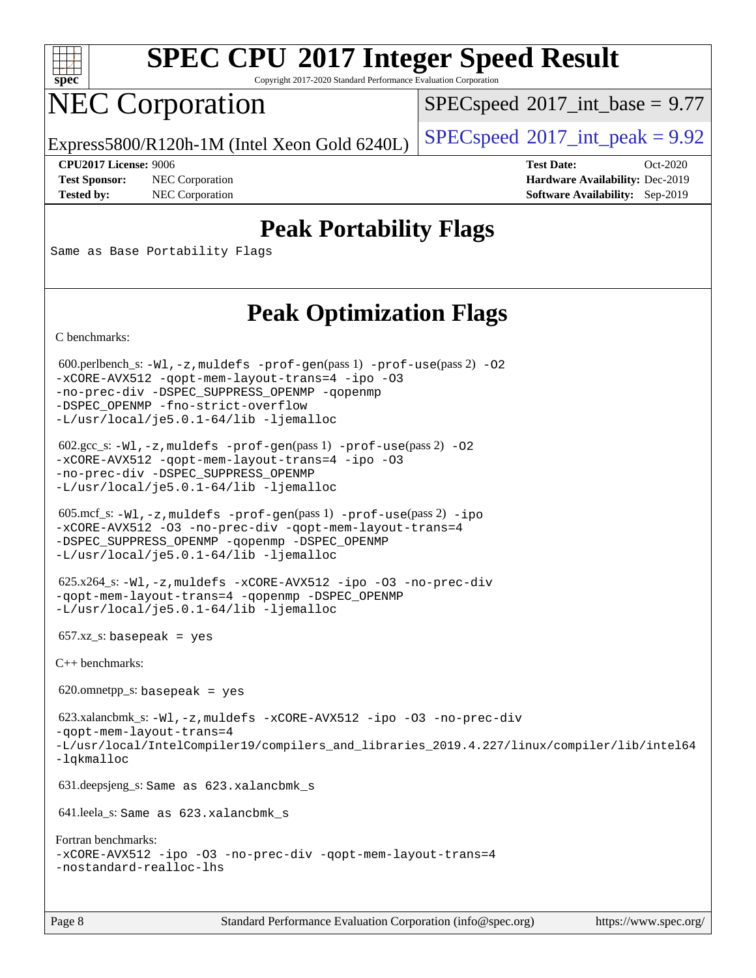

Copyright 2017-2020 Standard Performance Evaluation Corporation

# NEC Corporation

 $SPECspeed^{\circ}2017\_int\_base = 9.77$  $SPECspeed^{\circ}2017\_int\_base = 9.77$ 

Express5800/R120h-1M (Intel Xeon Gold 6240L)  $\left|$  [SPECspeed](http://www.spec.org/auto/cpu2017/Docs/result-fields.html#SPECspeed2017intpeak)®[2017\\_int\\_peak = 9](http://www.spec.org/auto/cpu2017/Docs/result-fields.html#SPECspeed2017intpeak).92

**[Test Sponsor:](http://www.spec.org/auto/cpu2017/Docs/result-fields.html#TestSponsor)** NEC Corporation **[Hardware Availability:](http://www.spec.org/auto/cpu2017/Docs/result-fields.html#HardwareAvailability)** Dec-2019

**[CPU2017 License:](http://www.spec.org/auto/cpu2017/Docs/result-fields.html#CPU2017License)** 9006 **[Test Date:](http://www.spec.org/auto/cpu2017/Docs/result-fields.html#TestDate)** Oct-2020 **[Tested by:](http://www.spec.org/auto/cpu2017/Docs/result-fields.html#Testedby)** NEC Corporation **[Software Availability:](http://www.spec.org/auto/cpu2017/Docs/result-fields.html#SoftwareAvailability)** Sep-2019

## **[Peak Portability Flags](http://www.spec.org/auto/cpu2017/Docs/result-fields.html#PeakPortabilityFlags)**

Same as Base Portability Flags

## **[Peak Optimization Flags](http://www.spec.org/auto/cpu2017/Docs/result-fields.html#PeakOptimizationFlags)**

[C benchmarks](http://www.spec.org/auto/cpu2017/Docs/result-fields.html#Cbenchmarks):

600.perlbench\_s:  $-W1$ , -z, muldefs [-prof-gen](http://www.spec.org/cpu2017/results/res2020q4/cpu2017-20201012-24182.flags.html#user_peakPASS1_CFLAGSPASS1_LDFLAGS600_perlbench_s_prof_gen_5aa4926d6013ddb2a31985c654b3eb18169fc0c6952a63635c234f711e6e63dd76e94ad52365559451ec499a2cdb89e4dc58ba4c67ef54ca681ffbe1461d6b36)(pass 1) [-prof-use](http://www.spec.org/cpu2017/results/res2020q4/cpu2017-20201012-24182.flags.html#user_peakPASS2_CFLAGSPASS2_LDFLAGS600_perlbench_s_prof_use_1a21ceae95f36a2b53c25747139a6c16ca95bd9def2a207b4f0849963b97e94f5260e30a0c64f4bb623698870e679ca08317ef8150905d41bd88c6f78df73f19)(pass 2) -02 [-xCORE-AVX512](http://www.spec.org/cpu2017/results/res2020q4/cpu2017-20201012-24182.flags.html#user_peakPASS2_COPTIMIZE600_perlbench_s_f-xCORE-AVX512) [-qopt-mem-layout-trans=4](http://www.spec.org/cpu2017/results/res2020q4/cpu2017-20201012-24182.flags.html#user_peakPASS1_COPTIMIZEPASS2_COPTIMIZE600_perlbench_s_f-qopt-mem-layout-trans_fa39e755916c150a61361b7846f310bcdf6f04e385ef281cadf3647acec3f0ae266d1a1d22d972a7087a248fd4e6ca390a3634700869573d231a252c784941a8) [-ipo](http://www.spec.org/cpu2017/results/res2020q4/cpu2017-20201012-24182.flags.html#user_peakPASS2_COPTIMIZE600_perlbench_s_f-ipo) [-O3](http://www.spec.org/cpu2017/results/res2020q4/cpu2017-20201012-24182.flags.html#user_peakPASS2_COPTIMIZE600_perlbench_s_f-O3) [-no-prec-div](http://www.spec.org/cpu2017/results/res2020q4/cpu2017-20201012-24182.flags.html#user_peakPASS2_COPTIMIZE600_perlbench_s_f-no-prec-div) [-DSPEC\\_SUPPRESS\\_OPENMP](http://www.spec.org/cpu2017/results/res2020q4/cpu2017-20201012-24182.flags.html#suite_peakPASS1_COPTIMIZE600_perlbench_s_DSPEC_SUPPRESS_OPENMP) [-qopenmp](http://www.spec.org/cpu2017/results/res2020q4/cpu2017-20201012-24182.flags.html#user_peakPASS2_COPTIMIZE600_perlbench_s_qopenmp_16be0c44f24f464004c6784a7acb94aca937f053568ce72f94b139a11c7c168634a55f6653758ddd83bcf7b8463e8028bb0b48b77bcddc6b78d5d95bb1df2967) [-DSPEC\\_OPENMP](http://www.spec.org/cpu2017/results/res2020q4/cpu2017-20201012-24182.flags.html#suite_peakPASS2_COPTIMIZE600_perlbench_s_DSPEC_OPENMP) [-fno-strict-overflow](http://www.spec.org/cpu2017/results/res2020q4/cpu2017-20201012-24182.flags.html#user_peakEXTRA_OPTIMIZE600_perlbench_s_f-fno-strict-overflow) [-L/usr/local/je5.0.1-64/lib](http://www.spec.org/cpu2017/results/res2020q4/cpu2017-20201012-24182.flags.html#user_peakEXTRA_LIBS600_perlbench_s_jemalloc_link_path64_4b10a636b7bce113509b17f3bd0d6226c5fb2346b9178c2d0232c14f04ab830f976640479e5c33dc2bcbbdad86ecfb6634cbbd4418746f06f368b512fced5394) [-ljemalloc](http://www.spec.org/cpu2017/results/res2020q4/cpu2017-20201012-24182.flags.html#user_peakEXTRA_LIBS600_perlbench_s_jemalloc_link_lib_d1249b907c500fa1c0672f44f562e3d0f79738ae9e3c4a9c376d49f265a04b9c99b167ecedbf6711b3085be911c67ff61f150a17b3472be731631ba4d0471706) 602.gcc\_s: [-Wl,-z,muldefs](http://www.spec.org/cpu2017/results/res2020q4/cpu2017-20201012-24182.flags.html#user_peakEXTRA_LDFLAGS602_gcc_s_link_force_multiple1_b4cbdb97b34bdee9ceefcfe54f4c8ea74255f0b02a4b23e853cdb0e18eb4525ac79b5a88067c842dd0ee6996c24547a27a4b99331201badda8798ef8a743f577) [-prof-gen](http://www.spec.org/cpu2017/results/res2020q4/cpu2017-20201012-24182.flags.html#user_peakPASS1_CFLAGSPASS1_LDFLAGS602_gcc_s_prof_gen_5aa4926d6013ddb2a31985c654b3eb18169fc0c6952a63635c234f711e6e63dd76e94ad52365559451ec499a2cdb89e4dc58ba4c67ef54ca681ffbe1461d6b36)(pass 1) [-prof-use](http://www.spec.org/cpu2017/results/res2020q4/cpu2017-20201012-24182.flags.html#user_peakPASS2_CFLAGSPASS2_LDFLAGS602_gcc_s_prof_use_1a21ceae95f36a2b53c25747139a6c16ca95bd9def2a207b4f0849963b97e94f5260e30a0c64f4bb623698870e679ca08317ef8150905d41bd88c6f78df73f19)(pass 2) [-O2](http://www.spec.org/cpu2017/results/res2020q4/cpu2017-20201012-24182.flags.html#user_peakPASS1_COPTIMIZE602_gcc_s_f-O2) [-xCORE-AVX512](http://www.spec.org/cpu2017/results/res2020q4/cpu2017-20201012-24182.flags.html#user_peakPASS2_COPTIMIZE602_gcc_s_f-xCORE-AVX512) [-qopt-mem-layout-trans=4](http://www.spec.org/cpu2017/results/res2020q4/cpu2017-20201012-24182.flags.html#user_peakPASS1_COPTIMIZEPASS2_COPTIMIZE602_gcc_s_f-qopt-mem-layout-trans_fa39e755916c150a61361b7846f310bcdf6f04e385ef281cadf3647acec3f0ae266d1a1d22d972a7087a248fd4e6ca390a3634700869573d231a252c784941a8) [-ipo](http://www.spec.org/cpu2017/results/res2020q4/cpu2017-20201012-24182.flags.html#user_peakPASS2_COPTIMIZE602_gcc_s_f-ipo) [-O3](http://www.spec.org/cpu2017/results/res2020q4/cpu2017-20201012-24182.flags.html#user_peakPASS2_COPTIMIZE602_gcc_s_f-O3) [-no-prec-div](http://www.spec.org/cpu2017/results/res2020q4/cpu2017-20201012-24182.flags.html#user_peakPASS2_COPTIMIZE602_gcc_s_f-no-prec-div) [-DSPEC\\_SUPPRESS\\_OPENMP](http://www.spec.org/cpu2017/results/res2020q4/cpu2017-20201012-24182.flags.html#suite_peakPASS1_COPTIMIZE602_gcc_s_DSPEC_SUPPRESS_OPENMP) [-L/usr/local/je5.0.1-64/lib](http://www.spec.org/cpu2017/results/res2020q4/cpu2017-20201012-24182.flags.html#user_peakEXTRA_LIBS602_gcc_s_jemalloc_link_path64_4b10a636b7bce113509b17f3bd0d6226c5fb2346b9178c2d0232c14f04ab830f976640479e5c33dc2bcbbdad86ecfb6634cbbd4418746f06f368b512fced5394) [-ljemalloc](http://www.spec.org/cpu2017/results/res2020q4/cpu2017-20201012-24182.flags.html#user_peakEXTRA_LIBS602_gcc_s_jemalloc_link_lib_d1249b907c500fa1c0672f44f562e3d0f79738ae9e3c4a9c376d49f265a04b9c99b167ecedbf6711b3085be911c67ff61f150a17b3472be731631ba4d0471706) 605.mcf\_s: [-Wl,-z,muldefs](http://www.spec.org/cpu2017/results/res2020q4/cpu2017-20201012-24182.flags.html#user_peakEXTRA_LDFLAGS605_mcf_s_link_force_multiple1_b4cbdb97b34bdee9ceefcfe54f4c8ea74255f0b02a4b23e853cdb0e18eb4525ac79b5a88067c842dd0ee6996c24547a27a4b99331201badda8798ef8a743f577) [-prof-gen](http://www.spec.org/cpu2017/results/res2020q4/cpu2017-20201012-24182.flags.html#user_peakPASS1_CFLAGSPASS1_LDFLAGS605_mcf_s_prof_gen_5aa4926d6013ddb2a31985c654b3eb18169fc0c6952a63635c234f711e6e63dd76e94ad52365559451ec499a2cdb89e4dc58ba4c67ef54ca681ffbe1461d6b36)(pass 1) [-prof-use](http://www.spec.org/cpu2017/results/res2020q4/cpu2017-20201012-24182.flags.html#user_peakPASS2_CFLAGSPASS2_LDFLAGS605_mcf_s_prof_use_1a21ceae95f36a2b53c25747139a6c16ca95bd9def2a207b4f0849963b97e94f5260e30a0c64f4bb623698870e679ca08317ef8150905d41bd88c6f78df73f19)(pass 2) [-ipo](http://www.spec.org/cpu2017/results/res2020q4/cpu2017-20201012-24182.flags.html#user_peakPASS1_COPTIMIZEPASS2_COPTIMIZE605_mcf_s_f-ipo) [-xCORE-AVX512](http://www.spec.org/cpu2017/results/res2020q4/cpu2017-20201012-24182.flags.html#user_peakPASS2_COPTIMIZE605_mcf_s_f-xCORE-AVX512) [-O3](http://www.spec.org/cpu2017/results/res2020q4/cpu2017-20201012-24182.flags.html#user_peakPASS1_COPTIMIZEPASS2_COPTIMIZE605_mcf_s_f-O3) [-no-prec-div](http://www.spec.org/cpu2017/results/res2020q4/cpu2017-20201012-24182.flags.html#user_peakPASS1_COPTIMIZEPASS2_COPTIMIZE605_mcf_s_f-no-prec-div) [-qopt-mem-layout-trans=4](http://www.spec.org/cpu2017/results/res2020q4/cpu2017-20201012-24182.flags.html#user_peakPASS1_COPTIMIZEPASS2_COPTIMIZE605_mcf_s_f-qopt-mem-layout-trans_fa39e755916c150a61361b7846f310bcdf6f04e385ef281cadf3647acec3f0ae266d1a1d22d972a7087a248fd4e6ca390a3634700869573d231a252c784941a8) [-DSPEC\\_SUPPRESS\\_OPENMP](http://www.spec.org/cpu2017/results/res2020q4/cpu2017-20201012-24182.flags.html#suite_peakPASS1_COPTIMIZE605_mcf_s_DSPEC_SUPPRESS_OPENMP) [-qopenmp](http://www.spec.org/cpu2017/results/res2020q4/cpu2017-20201012-24182.flags.html#user_peakPASS2_COPTIMIZE605_mcf_s_qopenmp_16be0c44f24f464004c6784a7acb94aca937f053568ce72f94b139a11c7c168634a55f6653758ddd83bcf7b8463e8028bb0b48b77bcddc6b78d5d95bb1df2967) [-DSPEC\\_OPENMP](http://www.spec.org/cpu2017/results/res2020q4/cpu2017-20201012-24182.flags.html#suite_peakPASS2_COPTIMIZE605_mcf_s_DSPEC_OPENMP) [-L/usr/local/je5.0.1-64/lib](http://www.spec.org/cpu2017/results/res2020q4/cpu2017-20201012-24182.flags.html#user_peakEXTRA_LIBS605_mcf_s_jemalloc_link_path64_4b10a636b7bce113509b17f3bd0d6226c5fb2346b9178c2d0232c14f04ab830f976640479e5c33dc2bcbbdad86ecfb6634cbbd4418746f06f368b512fced5394) [-ljemalloc](http://www.spec.org/cpu2017/results/res2020q4/cpu2017-20201012-24182.flags.html#user_peakEXTRA_LIBS605_mcf_s_jemalloc_link_lib_d1249b907c500fa1c0672f44f562e3d0f79738ae9e3c4a9c376d49f265a04b9c99b167ecedbf6711b3085be911c67ff61f150a17b3472be731631ba4d0471706) 625.x264\_s: [-Wl,-z,muldefs](http://www.spec.org/cpu2017/results/res2020q4/cpu2017-20201012-24182.flags.html#user_peakEXTRA_LDFLAGS625_x264_s_link_force_multiple1_b4cbdb97b34bdee9ceefcfe54f4c8ea74255f0b02a4b23e853cdb0e18eb4525ac79b5a88067c842dd0ee6996c24547a27a4b99331201badda8798ef8a743f577) [-xCORE-AVX512](http://www.spec.org/cpu2017/results/res2020q4/cpu2017-20201012-24182.flags.html#user_peakCOPTIMIZE625_x264_s_f-xCORE-AVX512) [-ipo](http://www.spec.org/cpu2017/results/res2020q4/cpu2017-20201012-24182.flags.html#user_peakCOPTIMIZE625_x264_s_f-ipo) [-O3](http://www.spec.org/cpu2017/results/res2020q4/cpu2017-20201012-24182.flags.html#user_peakCOPTIMIZE625_x264_s_f-O3) [-no-prec-div](http://www.spec.org/cpu2017/results/res2020q4/cpu2017-20201012-24182.flags.html#user_peakCOPTIMIZE625_x264_s_f-no-prec-div) [-qopt-mem-layout-trans=4](http://www.spec.org/cpu2017/results/res2020q4/cpu2017-20201012-24182.flags.html#user_peakCOPTIMIZE625_x264_s_f-qopt-mem-layout-trans_fa39e755916c150a61361b7846f310bcdf6f04e385ef281cadf3647acec3f0ae266d1a1d22d972a7087a248fd4e6ca390a3634700869573d231a252c784941a8) [-qopenmp](http://www.spec.org/cpu2017/results/res2020q4/cpu2017-20201012-24182.flags.html#user_peakCOPTIMIZE625_x264_s_qopenmp_16be0c44f24f464004c6784a7acb94aca937f053568ce72f94b139a11c7c168634a55f6653758ddd83bcf7b8463e8028bb0b48b77bcddc6b78d5d95bb1df2967) [-DSPEC\\_OPENMP](http://www.spec.org/cpu2017/results/res2020q4/cpu2017-20201012-24182.flags.html#suite_peakCOPTIMIZE625_x264_s_DSPEC_OPENMP) [-L/usr/local/je5.0.1-64/lib](http://www.spec.org/cpu2017/results/res2020q4/cpu2017-20201012-24182.flags.html#user_peakEXTRA_LIBS625_x264_s_jemalloc_link_path64_4b10a636b7bce113509b17f3bd0d6226c5fb2346b9178c2d0232c14f04ab830f976640479e5c33dc2bcbbdad86ecfb6634cbbd4418746f06f368b512fced5394) [-ljemalloc](http://www.spec.org/cpu2017/results/res2020q4/cpu2017-20201012-24182.flags.html#user_peakEXTRA_LIBS625_x264_s_jemalloc_link_lib_d1249b907c500fa1c0672f44f562e3d0f79738ae9e3c4a9c376d49f265a04b9c99b167ecedbf6711b3085be911c67ff61f150a17b3472be731631ba4d0471706)  $657.xz_s$ : basepeak = yes [C++ benchmarks:](http://www.spec.org/auto/cpu2017/Docs/result-fields.html#CXXbenchmarks)  $620.$ omnetpp\_s: basepeak = yes 623.xalancbmk\_s: [-Wl,-z,muldefs](http://www.spec.org/cpu2017/results/res2020q4/cpu2017-20201012-24182.flags.html#user_peakEXTRA_LDFLAGS623_xalancbmk_s_link_force_multiple1_b4cbdb97b34bdee9ceefcfe54f4c8ea74255f0b02a4b23e853cdb0e18eb4525ac79b5a88067c842dd0ee6996c24547a27a4b99331201badda8798ef8a743f577) [-xCORE-AVX512](http://www.spec.org/cpu2017/results/res2020q4/cpu2017-20201012-24182.flags.html#user_peakCXXOPTIMIZE623_xalancbmk_s_f-xCORE-AVX512) [-ipo](http://www.spec.org/cpu2017/results/res2020q4/cpu2017-20201012-24182.flags.html#user_peakCXXOPTIMIZE623_xalancbmk_s_f-ipo) [-O3](http://www.spec.org/cpu2017/results/res2020q4/cpu2017-20201012-24182.flags.html#user_peakCXXOPTIMIZE623_xalancbmk_s_f-O3) [-no-prec-div](http://www.spec.org/cpu2017/results/res2020q4/cpu2017-20201012-24182.flags.html#user_peakCXXOPTIMIZE623_xalancbmk_s_f-no-prec-div) [-qopt-mem-layout-trans=4](http://www.spec.org/cpu2017/results/res2020q4/cpu2017-20201012-24182.flags.html#user_peakCXXOPTIMIZE623_xalancbmk_s_f-qopt-mem-layout-trans_fa39e755916c150a61361b7846f310bcdf6f04e385ef281cadf3647acec3f0ae266d1a1d22d972a7087a248fd4e6ca390a3634700869573d231a252c784941a8) [-L/usr/local/IntelCompiler19/compilers\\_and\\_libraries\\_2019.4.227/linux/compiler/lib/intel64](http://www.spec.org/cpu2017/results/res2020q4/cpu2017-20201012-24182.flags.html#user_peakEXTRA_LIBS623_xalancbmk_s_qkmalloc_link_0ffe0cb02c68ef1b443a077c7888c10c67ca0d1dd7138472156f06a085bbad385f78d49618ad55dca9db3b1608e84afc2f69b4003b1d1ca498a9fc1462ccefda) [-lqkmalloc](http://www.spec.org/cpu2017/results/res2020q4/cpu2017-20201012-24182.flags.html#user_peakEXTRA_LIBS623_xalancbmk_s_qkmalloc_link_lib_79a818439969f771c6bc311cfd333c00fc099dad35c030f5aab9dda831713d2015205805422f83de8875488a2991c0a156aaa600e1f9138f8fc37004abc96dc5) 631.deepsjeng\_s: Same as 623.xalancbmk\_s 641.leela\_s: Same as 623.xalancbmk\_s [Fortran benchmarks:](http://www.spec.org/auto/cpu2017/Docs/result-fields.html#Fortranbenchmarks) [-xCORE-AVX512](http://www.spec.org/cpu2017/results/res2020q4/cpu2017-20201012-24182.flags.html#user_FCpeak_f-xCORE-AVX512) [-ipo](http://www.spec.org/cpu2017/results/res2020q4/cpu2017-20201012-24182.flags.html#user_FCpeak_f-ipo) [-O3](http://www.spec.org/cpu2017/results/res2020q4/cpu2017-20201012-24182.flags.html#user_FCpeak_f-O3) [-no-prec-div](http://www.spec.org/cpu2017/results/res2020q4/cpu2017-20201012-24182.flags.html#user_FCpeak_f-no-prec-div) [-qopt-mem-layout-trans=4](http://www.spec.org/cpu2017/results/res2020q4/cpu2017-20201012-24182.flags.html#user_FCpeak_f-qopt-mem-layout-trans_fa39e755916c150a61361b7846f310bcdf6f04e385ef281cadf3647acec3f0ae266d1a1d22d972a7087a248fd4e6ca390a3634700869573d231a252c784941a8) [-nostandard-realloc-lhs](http://www.spec.org/cpu2017/results/res2020q4/cpu2017-20201012-24182.flags.html#user_FCpeak_f_2003_std_realloc_82b4557e90729c0f113870c07e44d33d6f5a304b4f63d4c15d2d0f1fab99f5daaed73bdb9275d9ae411527f28b936061aa8b9c8f2d63842963b95c9dd6426b8a)